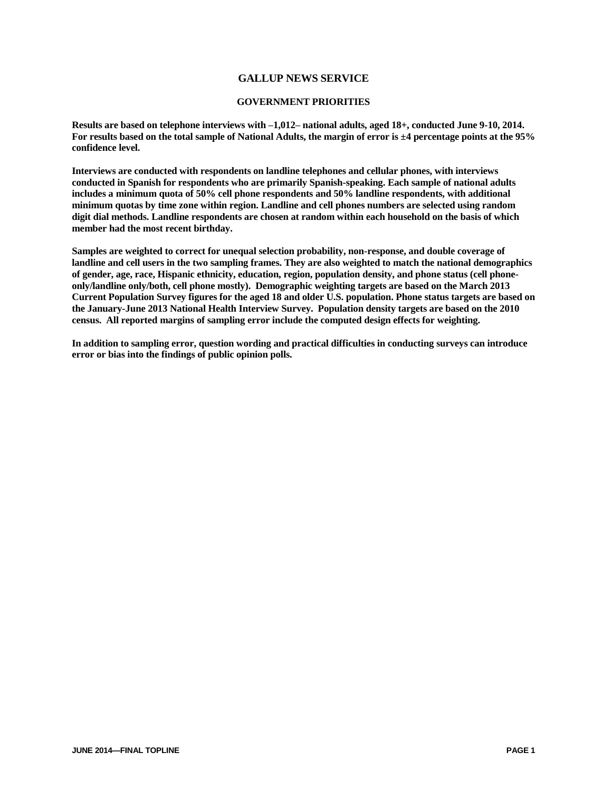### **GALLUP NEWS SERVICE**

#### **GOVERNMENT PRIORITIES**

**Results are based on telephone interviews with –1,012– national adults, aged 18+, conducted June 9-10, 2014. For results based on the total sample of National Adults, the margin of error is ±4 percentage points at the 95% confidence level.**

**Interviews are conducted with respondents on landline telephones and cellular phones, with interviews conducted in Spanish for respondents who are primarily Spanish-speaking. Each sample of national adults includes a minimum quota of 50% cell phone respondents and 50% landline respondents, with additional minimum quotas by time zone within region. Landline and cell phones numbers are selected using random digit dial methods. Landline respondents are chosen at random within each household on the basis of which member had the most recent birthday.**

**Samples are weighted to correct for unequal selection probability, non-response, and double coverage of landline and cell users in the two sampling frames. They are also weighted to match the national demographics of gender, age, race, Hispanic ethnicity, education, region, population density, and phone status (cell phoneonly/landline only/both, cell phone mostly). Demographic weighting targets are based on the March 2013 Current Population Survey figures for the aged 18 and older U.S. population. Phone status targets are based on the January-June 2013 National Health Interview Survey. Population density targets are based on the 2010 census. All reported margins of sampling error include the computed design effects for weighting.** 

**In addition to sampling error, question wording and practical difficulties in conducting surveys can introduce error or bias into the findings of public opinion polls.**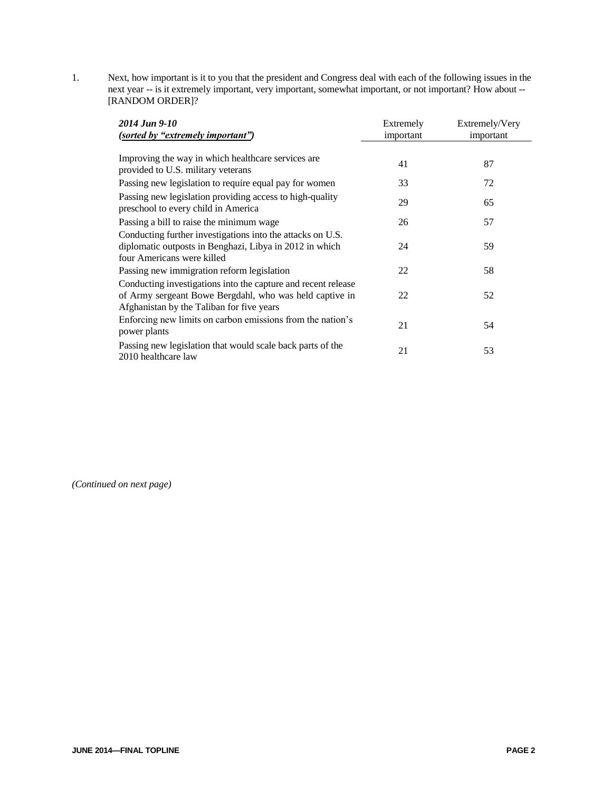1. Next, how important is it to you that the president and Congress deal with each of the following issues in the next year -- is it extremely important, very important, somewhat important, or not important? How about -- [RANDOM ORDER]?

| 2014 Jun 9-10                                                                                                                                                         | Extremely | Extremely/Very |
|-----------------------------------------------------------------------------------------------------------------------------------------------------------------------|-----------|----------------|
| (sorted by "extremely important")                                                                                                                                     | important | important      |
|                                                                                                                                                                       |           |                |
| Improving the way in which healthcare services are.<br>provided to U.S. military veterans                                                                             | 41        | 87             |
| Passing new legislation to require equal pay for women                                                                                                                | 33        | 72             |
| Passing new legislation providing access to high-quality<br>preschool to every child in America                                                                       | 29        | 65             |
| Passing a bill to raise the minimum wage                                                                                                                              | 26        | 57             |
| Conducting further investigations into the attacks on U.S.<br>diplomatic outposts in Benghazi, Libya in 2012 in which<br>four Americans were killed                   | 24        | 59             |
| Passing new immigration reform legislation                                                                                                                            | 22        | 58             |
| Conducting investigations into the capture and recent release<br>of Army sergeant Bowe Bergdahl, who was held captive in<br>Afghanistan by the Taliban for five years | 22        | 52             |
| Enforcing new limits on carbon emissions from the nation's<br>power plants                                                                                            | 21        | 54             |
| Passing new legislation that would scale back parts of the<br>2010 healthcare law                                                                                     | 21        | 53             |

*(Continued on next page)*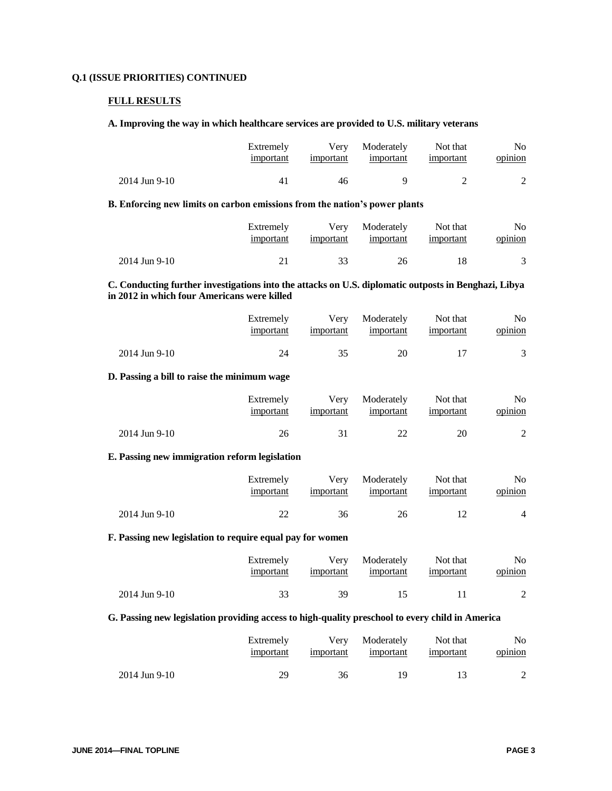## **Q.1 (ISSUE PRIORITIES) CONTINUED**

#### **FULL RESULTS**

#### **A. Improving the way in which healthcare services are provided to U.S. military veterans**

|                 | Extremely | Verv      | Moderately | Not that  | No.     |
|-----------------|-----------|-----------|------------|-----------|---------|
|                 | important | important | important  | important | opinion |
| $2014$ Jun 9-10 | 41        | 46        |            |           |         |

# **B. Enforcing new limits on carbon emissions from the nation's power plants**

|                 | Extremely | Verv      | Moderately | Not that  | No      |
|-----------------|-----------|-----------|------------|-----------|---------|
|                 | important | important | important  | important | opinion |
| $2014$ Jun 9-10 | 21        |           | 26         |           |         |

## **C. Conducting further investigations into the attacks on U.S. diplomatic outposts in Benghazi, Libya in 2012 in which four Americans were killed**

|               | Extremely<br>important | important | Very Moderately<br>important | Not that<br>important | No<br>opinion |
|---------------|------------------------|-----------|------------------------------|-----------------------|---------------|
| 2014 Jun 9-10 | 24                     |           | 20                           |                       |               |

## **D. Passing a bill to raise the minimum wage**

|               | Extremely<br>important | important | Very Moderately<br>important | Not that<br>important | No<br>opinion |
|---------------|------------------------|-----------|------------------------------|-----------------------|---------------|
| 2014 Jun 9-10 | 26                     |           |                              | 20                    |               |

#### **E. Passing new immigration reform legislation**

|               | Extremely<br>important | important | Very Moderately<br>important | Not that<br>important | No<br>opinion |
|---------------|------------------------|-----------|------------------------------|-----------------------|---------------|
| 2014 Jun 9-10 | 22                     | 36        | 26                           |                       | 4             |

#### **F. Passing new legislation to require equal pay for women**

|               | Extremely | Very      | Moderately           | Not that  | No.     |
|---------------|-----------|-----------|----------------------|-----------|---------|
|               | important | important | important            | important | opinion |
| 2014 Jun 9-10 | 33        | 39        | $\ddot{\phantom{1}}$ |           |         |

### **G. Passing new legislation providing access to high-quality preschool to every child in America**

|               | Extremely | Very      | Moderately | Not that  | No.     |
|---------------|-----------|-----------|------------|-----------|---------|
|               | important | important | important  | important | opinion |
| 2014 Jun 9-10 | 29        | 36        | 19         |           |         |